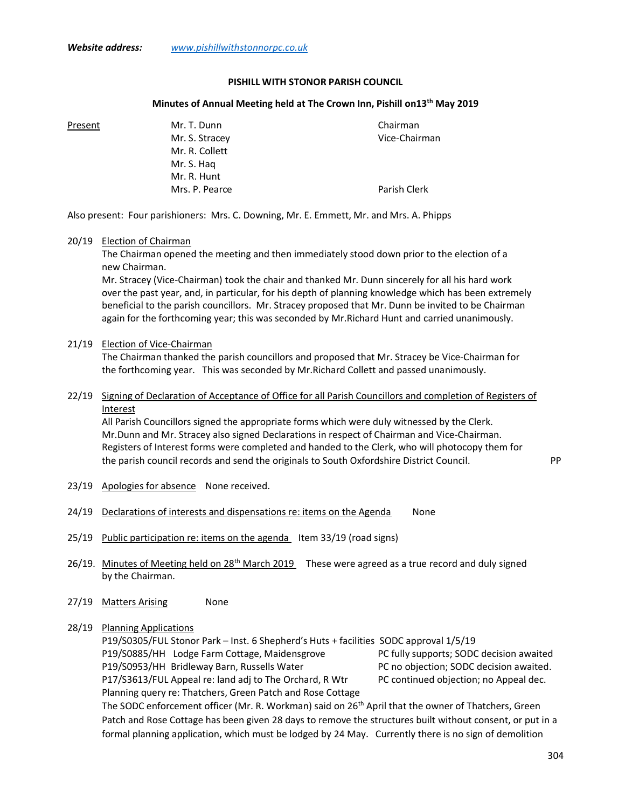#### PISHILL WITH STONOR PARISH COUNCIL

#### Minutes of Annual Meeting held at The Crown Inn, Pishill on 13<sup>th</sup> May 2019

Present Mr. T. Dunn Chairman Mr. S. Stracey and the Chairman Vice-Chairman Mr. R. Collett Mr. S. Haq Mr. R. Hunt Mrs. P. Pearce **Parish Clerk** 

Also present: Four parishioners: Mrs. C. Downing, Mr. E. Emmett, Mr. and Mrs. A. Phipps

#### 20/19 Election of Chairman

 The Chairman opened the meeting and then immediately stood down prior to the election of a new Chairman.

 Mr. Stracey (Vice-Chairman) took the chair and thanked Mr. Dunn sincerely for all his hard work over the past year, and, in particular, for his depth of planning knowledge which has been extremely beneficial to the parish councillors. Mr. Stracey proposed that Mr. Dunn be invited to be Chairman again for the forthcoming year; this was seconded by Mr.Richard Hunt and carried unanimously.

### 21/19 Election of Vice-Chairman

 The Chairman thanked the parish councillors and proposed that Mr. Stracey be Vice-Chairman for the forthcoming year. This was seconded by Mr.Richard Collett and passed unanimously.

## 22/19 Signing of Declaration of Acceptance of Office for all Parish Councillors and completion of Registers of Interest

 All Parish Councillors signed the appropriate forms which were duly witnessed by the Clerk. Mr.Dunn and Mr. Stracey also signed Declarations in respect of Chairman and Vice-Chairman. Registers of Interest forms were completed and handed to the Clerk, who will photocopy them for the parish council records and send the originals to South Oxfordshire District Council. PP

- 23/19 Apologies for absence None received.
- 24/19 Declarations of interests and dispensations re: items on the Agenda None
- 25/19 Public participation re: items on the agenda Item 33/19 (road signs)
- 26/19. Minutes of Meeting held on 28<sup>th</sup> March 2019 These were agreed as a true record and duly signed by the Chairman.
- 27/19 Matters Arising None

## 28/19 Planning Applications

 P19/S0305/FUL Stonor Park – Inst. 6 Shepherd's Huts + facilities SODC approval 1/5/19 P19/S0885/HH Lodge Farm Cottage, Maidensgrove PC fully supports; SODC decision awaited P19/S0953/HH Bridleway Barn, Russells Water PC no objection; SODC decision awaited. P17/S3613/FUL Appeal re: land adj to The Orchard, R Wtr PC continued objection; no Appeal dec. Planning query re: Thatchers, Green Patch and Rose Cottage

The SODC enforcement officer (Mr. R. Workman) said on 26<sup>th</sup> April that the owner of Thatchers, Green Patch and Rose Cottage has been given 28 days to remove the structures built without consent, or put in a formal planning application, which must be lodged by 24 May. Currently there is no sign of demolition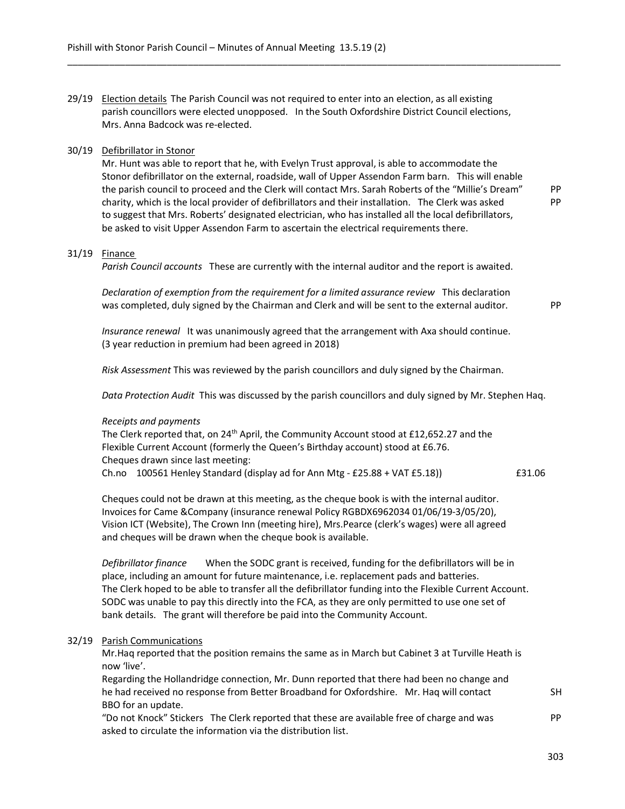29/19 Election details The Parish Council was not required to enter into an election, as all existing parish councillors were elected unopposed. In the South Oxfordshire District Council elections, Mrs. Anna Badcock was re-elected.

## 30/19 Defibrillator in Stonor

 Mr. Hunt was able to report that he, with Evelyn Trust approval, is able to accommodate the Stonor defibrillator on the external, roadside, wall of Upper Assendon Farm barn. This will enable the parish council to proceed and the Clerk will contact Mrs. Sarah Roberts of the "Millie's Dream" PP charity, which is the local provider of defibrillators and their installation. The Clerk was asked PP to suggest that Mrs. Roberts' designated electrician, who has installed all the local defibrillators, be asked to visit Upper Assendon Farm to ascertain the electrical requirements there.

\_\_\_\_\_\_\_\_\_\_\_\_\_\_\_\_\_\_\_\_\_\_\_\_\_\_\_\_\_\_\_\_\_\_\_\_\_\_\_\_\_\_\_\_\_\_\_\_\_\_\_\_\_\_\_\_\_\_\_\_\_\_\_\_\_\_\_\_\_\_\_\_\_\_\_\_\_\_\_\_\_\_\_\_\_\_\_\_\_\_\_\_\_\_

# 31/19 Finance

Parish Council accounts These are currently with the internal auditor and the report is awaited.

Declaration of exemption from the requirement for a limited assurance review This declaration was completed, duly signed by the Chairman and Clerk and will be sent to the external auditor. PP

 Insurance renewal It was unanimously agreed that the arrangement with Axa should continue. (3 year reduction in premium had been agreed in 2018)

Risk Assessment This was reviewed by the parish councillors and duly signed by the Chairman.

Data Protection Audit This was discussed by the parish councillors and duly signed by Mr. Stephen Haq.

# Receipts and payments

The Clerk reported that, on  $24<sup>th</sup>$  April, the Community Account stood at £12,652.27 and the Flexible Current Account (formerly the Queen's Birthday account) stood at £6.76. Cheques drawn since last meeting: Ch.no  $100561$  Henley Standard (display ad for Ann Mtg - £25.88 + VAT £5.18))  $\qquad \qquad$  £31.06

 Cheques could not be drawn at this meeting, as the cheque book is with the internal auditor. Invoices for Came &Company (insurance renewal Policy RGBDX6962034 01/06/19-3/05/20), Vision ICT (Website), The Crown Inn (meeting hire), Mrs.Pearce (clerk's wages) were all agreed and cheques will be drawn when the cheque book is available.

Defibrillator finance When the SODC grant is received, funding for the defibrillators will be in place, including an amount for future maintenance, i.e. replacement pads and batteries. The Clerk hoped to be able to transfer all the defibrillator funding into the Flexible Current Account. SODC was unable to pay this directly into the FCA, as they are only permitted to use one set of bank details. The grant will therefore be paid into the Community Account.

## 32/19 Parish Communications

 Mr.Haq reported that the position remains the same as in March but Cabinet 3 at Turville Heath is now 'live'.

 Regarding the Hollandridge connection, Mr. Dunn reported that there had been no change and he had received no response from Better Broadband for Oxfordshire. Mr. Haq will contact SH BBO for an update.

 "Do not Knock" Stickers The Clerk reported that these are available free of charge and was PP asked to circulate the information via the distribution list.